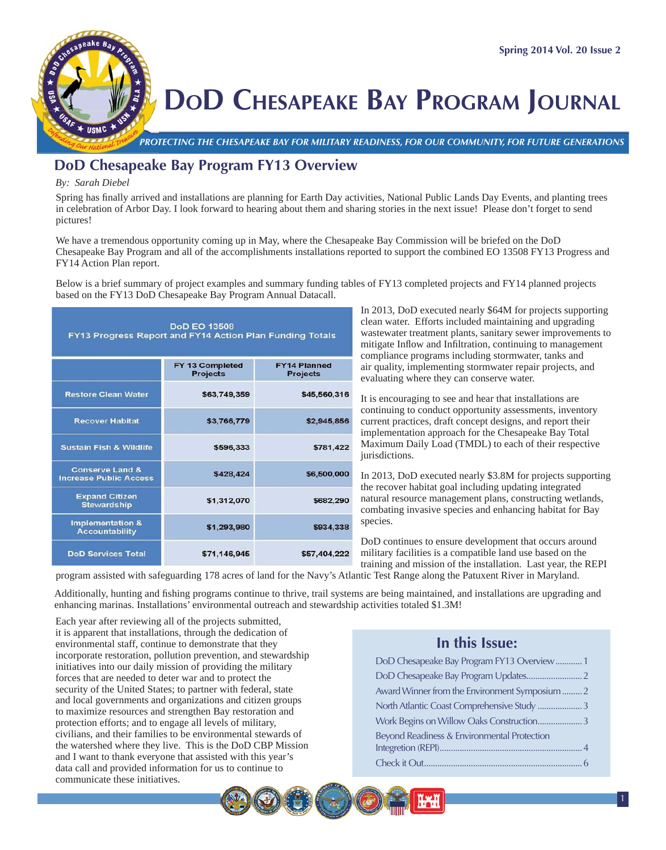

# **DOD CHESAPEAKE BAY PROGRAM JOURNAL**

*PROTECTING THE CHESAPEAKE BAY FOR MILITARY READINESS, FOR OUR COMMUNITY, FOR FUTURE GENERATIONS PROT*

## **DoD Chesapeake Bay Program FY13 Overview**

#### *By: Sarah Diebel*

Spring has finally arrived and installations are planning for Earth Day activities, National Public Lands Day Events, and planting trees in celebration of Arbor Day. I look forward to hearing about them and sharing stories in the next issue! Please don't forget to send pictures!

We have a tremendous opportunity coming up in May, where the Chesapeake Bay Commission will be briefed on the DoD Chesapeake Bay Program and all of the accomplishments installations reported to support the combined EO 13508 FY13 Progress and FY14 Action Plan report.

Below is a brief summary of project examples and summary funding tables of FY13 completed projects and FY14 planned projects based on the FY13 DoD Chesapeake Bay Program Annual Datacall.

| <b>DoD EO 13508</b><br>FY13 Progress Report and FY14 Action Plan Funding Totals |                                    |                                        |  |
|---------------------------------------------------------------------------------|------------------------------------|----------------------------------------|--|
|                                                                                 | FY 13 Completed<br><b>Projects</b> | <b>FY14 Planned</b><br><b>Projects</b> |  |
| <b>Restore Clean Water</b>                                                      | \$63,749,359                       | \$45,560,316                           |  |
| <b>Recover Habitat</b>                                                          | \$3,766,779                        | \$2,945,856                            |  |
| <b>Sustain Fish &amp; Wildlife</b>                                              | \$596,333                          | \$781,422                              |  |
| <b>Conserve Land &amp;</b><br><b>Increase Public Access</b>                     | \$428,424                          | \$6,500,000                            |  |
| <b>Expand Citizen</b><br><b>Stewardship</b>                                     | \$1,312,070                        | \$682,290                              |  |
| <b>Implementation &amp;</b><br><b>Accountability</b>                            | \$1,293,980                        | \$934,338                              |  |
| <b>DoD Services Total</b>                                                       | \$71,146,945                       | \$57,404,222                           |  |

In 2013, DoD executed nearly \$64M for projects supporting clean water. Efforts included maintaining and upgrading wastewater treatment plants, sanitary sewer improvements to mitigate Inflow and Infiltration, continuing to management compliance programs including stormwater, tanks and air quality, implementing stormwater repair projects, and evaluating where they can conserve water.

It is encouraging to see and hear that installations are continuing to conduct opportunity assessments, inventory current practices, draft concept designs, and report their implementation approach for the Chesapeake Bay Total Maximum Daily Load (TMDL) to each of their respective jurisdictions.

In 2013, DoD executed nearly \$3.8M for projects supporting the recover habitat goal including updating integrated natural resource management plans, constructing wetlands, combating invasive species and enhancing habitat for Bay species.

DoD continues to ensure development that occurs around military facilities is a compatible land use based on the training and mission of the installation. Last year, the REPI

program assisted with safeguarding 178 acres of land for the Navy's Atlantic Test Range along the Patuxent River in Maryland.

Additionally, hunting and fishing programs continue to thrive, trail systems are being maintained, and installations are upgrading and enhancing marinas. Installations' environmental outreach and stewardship activities totaled \$1.3M!

Each year after reviewing all of the projects submitted, it is apparent that installations, through the dedication of environmental staff, continue to demonstrate that they incorporate restoration, pollution prevention, and stewardship initiatives into our daily mission of providing the military forces that are needed to deter war and to protect the security of the United States; to partner with federal, state and local governments and organizations and citizen groups to maximize resources and strengthen Bay restoration and protection efforts; and to engage all levels of military, civilians, and their families to be environmental stewards of the watershed where they live. This is the DoD CBP Mission and I want to thank everyone that assisted with this year's data call and provided information for us to continue to communicate these initiatives.

## **In this Issue:**

| DoD Chesapeake Bay Program FY13 Overview1      |  |
|------------------------------------------------|--|
|                                                |  |
| Award Winner from the Environment Symposium  2 |  |
| North Atlantic Coast Comprehensive Study  3    |  |
| Work Begins on Willow Oaks Construction3       |  |
| Beyond Readiness & Environmental Protection    |  |
|                                                |  |
|                                                |  |
|                                                |  |

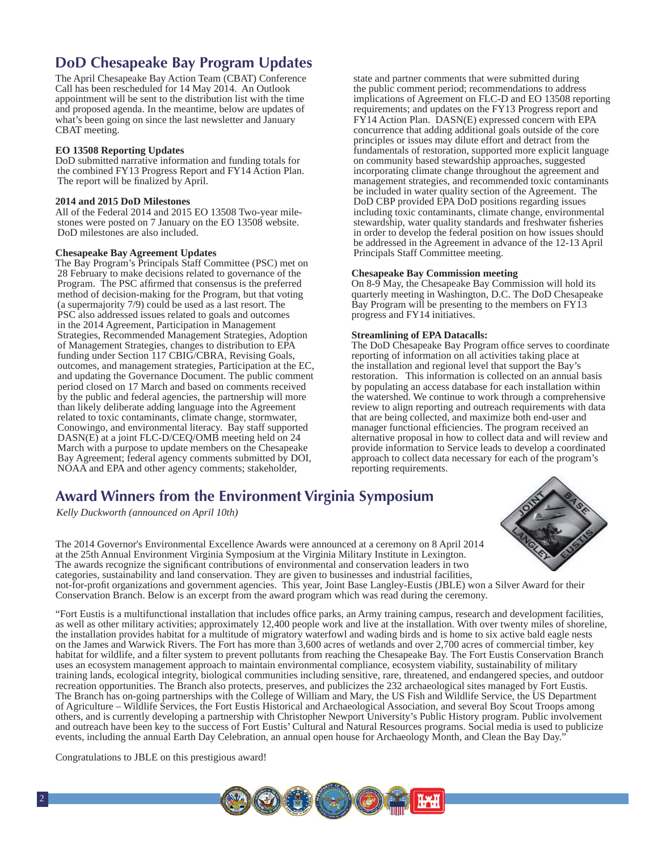# **DoD Chesapeake Bay Program Updates**

The April Chesapeake Bay Action Team (CBAT) Conference Call has been rescheduled for 14 May 2014. An Outlook appointment will be sent to the distribution list with the time and proposed agenda. In the meantime, below are updates of what's been going on since the last newsletter and January CBAT meeting.

#### **EO 13508 Reporting Updates**

DoD submitted narrative information and funding totals for the combined FY13 Progress Report and FY14 Action Plan. The report will be finalized by April.

#### **2014 and 2015 DoD Milestones**

All of the Federal 2014 and 2015 EO 13508 Two-year milestones were posted on 7 January on the EO 13508 website. DoD milestones are also included.

#### **Chesapeake Bay Agreement Updates**

The Bay Program's Principals Staff Committee (PSC) met on 28 February to make decisions related to governance of the Program. The PSC affirmed that consensus is the preferred method of decision-making for the Program, but that voting (a supermajority 7/9) could be used as a last resort. The PSC also addressed issues related to goals and outcomes in the 2014 Agreement, Participation in Management Strategies, Recommended Management Strategies, Adoption of Management Strategies, changes to distribution to EPA funding under Section 117 CBIG/CBRA, Revising Goals, outcomes, and management strategies, Participation at the EC, and updating the Governance Document. The public comment period closed on 17 March and based on comments received by the public and federal agencies, the partnership will more than likely deliberate adding language into the Agreement related to toxic contaminants, climate change, stormwater, Conowingo, and environmental literacy. Bay staff supported DASN(E) at a joint FLC-D/CEQ/OMB meeting held on 24 March with a purpose to update members on the Chesapeake Bay Agreement; federal agency comments submitted by DOI, NOAA and EPA and other agency comments; stakeholder,

state and partner comments that were submitted during the public comment period; recommendations to address implications of Agreement on FLC-D and EO 13508 reporting requirements; and updates on the FY13 Progress report and FY14 Action Plan. DASN(E) expressed concern with EPA concurrence that adding additional goals outside of the core principles or issues may dilute effort and detract from the fundamentals of restoration, supported more explicit language on community based stewardship approaches, suggested incorporating climate change throughout the agreement and management strategies, and recommended toxic contaminants be included in water quality section of the Agreement. The DoD CBP provided EPA DoD positions regarding issues including toxic contaminants, climate change, environmental stewardship, water quality standards and freshwater fisheries in order to develop the federal position on how issues should be addressed in the Agreement in advance of the 12-13 April Principals Staff Committee meeting.

#### **Chesapeake Bay Commission meeting**

On 8-9 May, the Chesapeake Bay Commission will hold its quarterly meeting in Washington, D.C. The DoD Chesapeake Bay Program will be presenting to the members on FY13 progress and FY14 initiatives.

#### **Streamlining of EPA Datacalls:**

The DoD Chesapeake Bay Program office serves to coordinate reporting of information on all activities taking place at the installation and regional level that support the Bay's restoration. This information is collected on an annual basis by populating an access database for each installation within the watershed. We continue to work through a comprehensive review to align reporting and outreach requirements with data that are being collected, and maximize both end-user and manager functional efficiencies. The program received an alternative proposal in how to collect data and will review and provide information to Service leads to develop a coordinated approach to collect data necessary for each of the program's reporting requirements.

## **Award Winners from the Environment Virginia Symposium**

*Kelly Duckworth (announced on April 10th)* 

The 2014 Governor's Environmental Excellence Awards were announced at a ceremony on 8 April 2014 at the 25th Annual Environment Virginia Symposium at the Virginia Military Institute in Lexington. The awards recognize the significant contributions of environmental and conservation leaders in two categories, sustainability and land conservation. They are given to businesses and industrial facilities, not-for-profi t organizations and government agencies. This year, Joint Base Langley-Eustis (JBLE) won a Silver Award for their Conservation Branch. Below is an excerpt from the award program which was read during the ceremony.

"Fort Eustis is a multifunctional installation that includes office parks, an Army training campus, research and development facilities, as well as other military activities; approximately 12,400 people work and live at the installation. With over twenty miles of shoreline, the installation provides habitat for a multitude of migratory waterfowl and wading birds and is home to six active bald eagle nests on the James and Warwick Rivers. The Fort has more than 3,600 acres of wetlands and over 2,700 acres of commercial timber, key habitat for wildlife, and a filter system to prevent pollutants from reaching the Chesapeake Bay. The Fort Eustis Conservation Branch uses an ecosystem management approach to maintain environmental compliance, ecosystem viability, sustainability of military training lands, ecological integrity, biological communities including sensitive, rare, threatened, and endangered species, and outdoor recreation opportunities. The Branch also protects, preserves, and publicizes the 232 archaeological sites managed by Fort Eustis. The Branch has on-going partnerships with the College of William and Mary, the US Fish and Wildlife Service, the US Department of Agriculture – Wildlife Services, the Fort Eustis Historical and Archaeological Association, and several Boy Scout Troops among others, and is currently developing a partnership with Christopher Newport University's Public History program. Public involvement and outreach have been key to the success of Fort Eustis' Cultural and Natural Resources programs. Social media is used to publicize events, including the annual Earth Day Celebration, an annual open house for Archaeology Month, and Clean the Bay Day."

Congratulations to JBLE on this prestigious award!

2



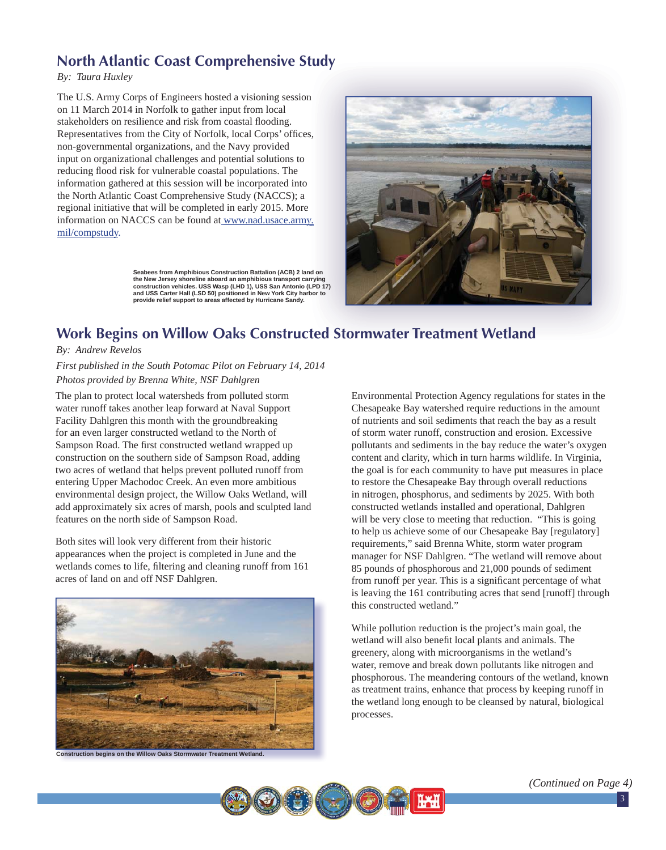# **North Atlantic Coast Comprehensive Study**

*By: Taura Huxley*

The U.S. Army Corps of Engineers hosted a visioning session on 11 March 2014 in Norfolk to gather input from local stakeholders on resilience and risk from coastal flooding. Representatives from the City of Norfolk, local Corps' offices, non-governmental organizations, and the Navy provided input on organizational challenges and potential solutions to reducing flood risk for vulnerable coastal populations. The information gathered at this session will be incorporated into the North Atlantic Coast Comprehensive Study (NACCS); a regional initiative that will be completed in early 2015. More information on NACCS can be found at www.nad.usace.army. mil/compstudy. n<br>:s,

> **Seabees from Amphibious Construction Battalion (ACB) 2 land on the New Jersey shoreline aboard an amphibious transport carrying construction vehicles. USS Wasp (LHD 1), USS San Antonio (LPD 17) and USS Carter Hall (LSD 50) positioned in New York City harbor to provide relief support to areas affected by Hurricane Sandy.**



## **Work Begins on Willow Oaks Constructed Stormwater Treatment Wetland**

#### *By: Andrew Revelos*

*First published in the South Potomac Pilot on February 14, 2014 Photos provided by Brenna White, NSF Dahlgren*

The plan to protect local watersheds from polluted storm water runoff takes another leap forward at Naval Support Facility Dahlgren this month with the groundbreaking for an even larger constructed wetland to the North of Sampson Road. The first constructed wetland wrapped up construction on the southern side of Sampson Road, adding two acres of wetland that helps prevent polluted runoff from entering Upper Machodoc Creek. An even more ambitious environmental design project, the Willow Oaks Wetland, will add approximately six acres of marsh, pools and sculpted land features on the north side of Sampson Road.

Both sites will look very different from their historic appearances when the project is completed in June and the wetlands comes to life, filtering and cleaning runoff from 161 acres of land on and off NSF Dahlgren.



Environmental Protection Agency regulations for states in the Chesapeake Bay watershed require reductions in the amount of nutrients and soil sediments that reach the bay as a result of storm water runoff, construction and erosion. Excessive pollutants and sediments in the bay reduce the water's oxygen content and clarity, which in turn harms wildlife. In Virginia, the goal is for each community to have put measures in place to restore the Chesapeake Bay through overall reductions in nitrogen, phosphorus, and sediments by 2025. With both constructed wetlands installed and operational, Dahlgren will be very close to meeting that reduction. "This is going to help us achieve some of our Chesapeake Bay [regulatory] requirements," said Brenna White, storm water program manager for NSF Dahlgren. "The wetland will remove about 85 pounds of phosphorous and 21,000 pounds of sediment from runoff per year. This is a significant percentage of what is leaving the 161 contributing acres that send [runoff] through this constructed wetland."

While pollution reduction is the project's main goal, the wetland will also benefit local plants and animals. The greenery, along with microorganisms in the wetland's water, remove and break down pollutants like nitrogen and phosphorous. The meandering contours of the wetland, known as treatment trains, enhance that process by keeping runoff in the wetland long enough to be cleansed by natural, biological processes.



*(Continued on Page 4)*

3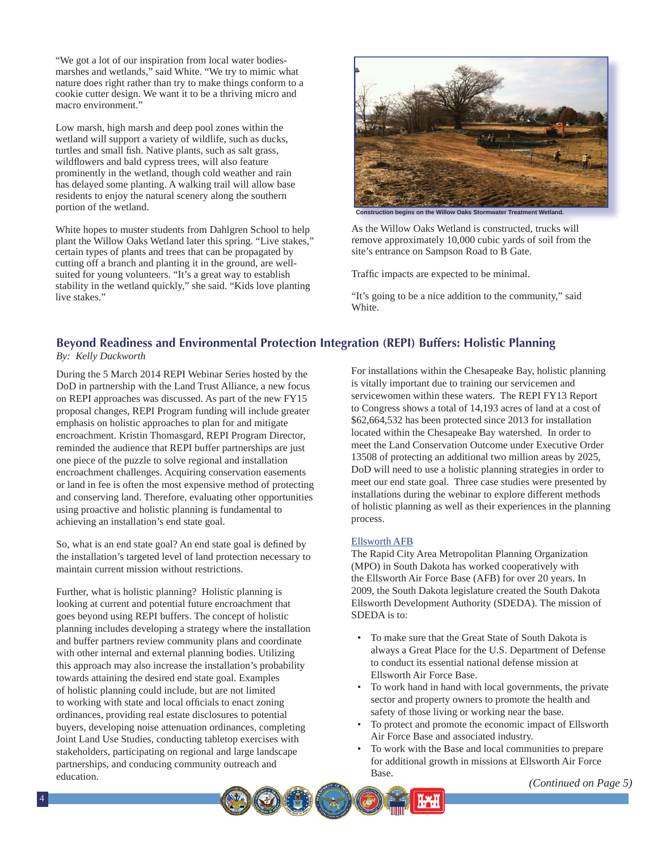"We got a lot of our inspiration from local water bodiesmarshes and wetlands," said White. "We try to mimic what nature does right rather than try to make things conform to a cookie cutter design. We want it to be a thriving micro and macro environment."

Low marsh, high marsh and deep pool zones within the wetland will support a variety of wildlife, such as ducks, turtles and small fish. Native plants, such as salt grass, wildflowers and bald cypress trees, will also feature prominently in the wetland, though cold weather and rain has delayed some planting. A walking trail will allow base residents to enjoy the natural scenery along the southern portion of the wetland.

White hopes to muster students from Dahlgren School to help plant the Willow Oaks Wetland later this spring. "Live stakes," certain types of plants and trees that can be propagated by cutting off a branch and planting it in the ground, are wellsuited for young volunteers. "It's a great way to establish stability in the wetland quickly," she said. "Kids love planting live stakes."



As the Willow Oaks Wetland is constructed, trucks will remove approximately 10,000 cubic yards of soil from the site's entrance on Sampson Road to B Gate.

Traffic impacts are expected to be minimal.

"It's going to be a nice addition to the community," said White.

#### **Beyond Readiness and Environmental Protection Integration (REPI) Buffers: Holistic Planning** *By: Kelly Duckworth*

During the 5 March 2014 REPI Webinar Series hosted by the DoD in partnership with the Land Trust Alliance, a new focus on REPI approaches was discussed. As part of the new FY15 proposal changes, REPI Program funding will include greater emphasis on holistic approaches to plan for and mitigate encroachment. Kristin Thomasgard, REPI Program Director, reminded the audience that REPI buffer partnerships are just one piece of the puzzle to solve regional and installation encroachment challenges. Acquiring conservation easements or land in fee is often the most expensive method of protecting and conserving land. Therefore, evaluating other opportunities using proactive and holistic planning is fundamental to achieving an installation's end state goal.

So, what is an end state goal? An end state goal is defined by the installation's targeted level of land protection necessary to maintain current mission without restrictions.

Further, what is holistic planning? Holistic planning is looking at current and potential future encroachment that goes beyond using REPI buffers. The concept of holistic planning includes developing a strategy where the installation and buffer partners review community plans and coordinate with other internal and external planning bodies. Utilizing this approach may also increase the installation's probability towards attaining the desired end state goal. Examples of holistic planning could include, but are not limited to working with state and local officials to enact zoning ordinances, providing real estate disclosures to potential buyers, developing noise attenuation ordinances, completing Joint Land Use Studies, conducting tabletop exercises with stakeholders, participating on regional and large landscape partnerships, and conducing community outreach and education.

For installations within the Chesapeake Bay, holistic planning is vitally important due to training our servicemen and servicewomen within these waters. The REPI FY13 Report to Congress shows a total of 14,193 acres of land at a cost of \$62,664,532 has been protected since 2013 for installation located within the Chesapeake Bay watershed. In order to meet the Land Conservation Outcome under Executive Order 13508 of protecting an additional two million areas by 2025, DoD will need to use a holistic planning strategies in order to meet our end state goal. Three case studies were presented by installations during the webinar to explore different methods of holistic planning as well as their experiences in the planning process.

#### Ellsworth AFB

The Rapid City Area Metropolitan Planning Organization (MPO) in South Dakota has worked cooperatively with the Ellsworth Air Force Base (AFB) for over 20 years. In 2009, the South Dakota legislature created the South Dakota Ellsworth Development Authority (SDEDA). The mission of SDEDA is to:

- To make sure that the Great State of South Dakota is always a Great Place for the U.S. Department of Defense to conduct its essential national defense mission at Ellsworth Air Force Base.
- To work hand in hand with local governments, the private sector and property owners to promote the health and safety of those living or working near the base.
- To protect and promote the economic impact of Ellsworth Air Force Base and associated industry.
- To work with the Base and local communities to prepare for additional growth in missions at Ellsworth Air Force Base.



*<sup>(</sup>Continued on Page 5)*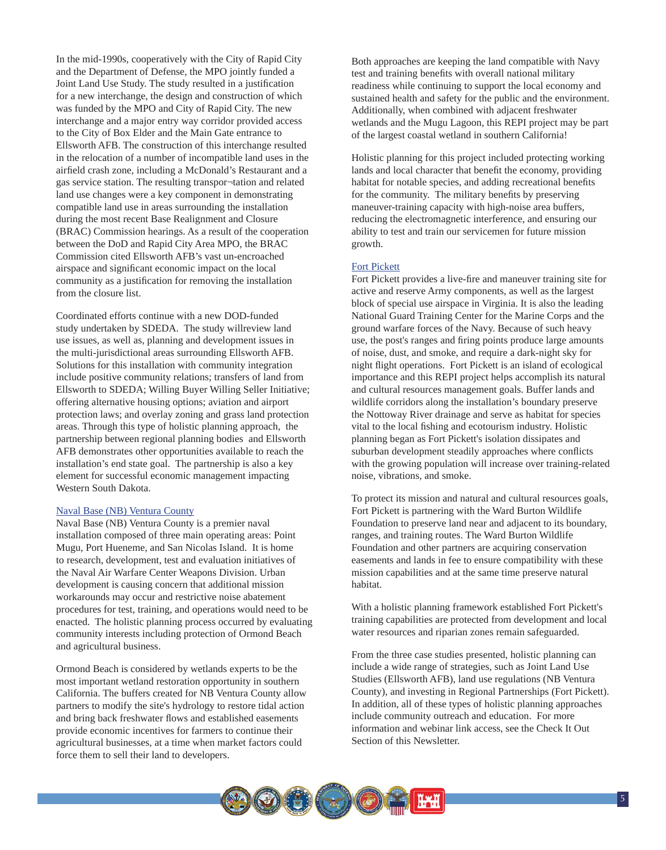In the mid-1990s, cooperatively with the City of Rapid City and the Department of Defense, the MPO jointly funded a Joint Land Use Study. The study resulted in a justification for a new interchange, the design and construction of which was funded by the MPO and City of Rapid City. The new interchange and a major entry way corridor provided access to the City of Box Elder and the Main Gate entrance to Ellsworth AFB. The construction of this interchange resulted in the relocation of a number of incompatible land uses in the airfield crash zone, including a McDonald's Restaurant and a gas service station. The resulting transpor¬tation and related land use changes were a key component in demonstrating compatible land use in areas surrounding the installation during the most recent Base Realignment and Closure (BRAC) Commission hearings. As a result of the cooperation between the DoD and Rapid City Area MPO, the BRAC Commission cited Ellsworth AFB's vast un-encroached airspace and significant economic impact on the local community as a justification for removing the installation from the closure list.

Coordinated efforts continue with a new DOD-funded study undertaken by SDEDA. The study willreview land use issues, as well as, planning and development issues in the multi-jurisdictional areas surrounding Ellsworth AFB. Solutions for this installation with community integration include positive community relations; transfers of land from Ellsworth to SDEDA; Willing Buyer Willing Seller Initiative; offering alternative housing options; aviation and airport protection laws; and overlay zoning and grass land protection areas. Through this type of holistic planning approach, the partnership between regional planning bodies and Ellsworth AFB demonstrates other opportunities available to reach the installation's end state goal. The partnership is also a key element for successful economic management impacting Western South Dakota.

#### Naval Base (NB) Ventura County

Naval Base (NB) Ventura County is a premier naval installation composed of three main operating areas: Point Mugu, Port Hueneme, and San Nicolas Island. It is home to research, development, test and evaluation initiatives of the Naval Air Warfare Center Weapons Division. Urban development is causing concern that additional mission workarounds may occur and restrictive noise abatement procedures for test, training, and operations would need to be enacted. The holistic planning process occurred by evaluating community interests including protection of Ormond Beach and agricultural business.

Ormond Beach is considered by wetlands experts to be the most important wetland restoration opportunity in southern California. The buffers created for NB Ventura County allow partners to modify the site's hydrology to restore tidal action and bring back freshwater flows and established easements provide economic incentives for farmers to continue their agricultural businesses, at a time when market factors could force them to sell their land to developers.

Both approaches are keeping the land compatible with Navy test and training benefits with overall national military readiness while continuing to support the local economy and sustained health and safety for the public and the environment. Additionally, when combined with adjacent freshwater wetlands and the Mugu Lagoon, this REPI project may be part of the largest coastal wetland in southern California!

Holistic planning for this project included protecting working lands and local character that benefit the economy, providing habitat for notable species, and adding recreational benefits for the community. The military benefits by preserving maneuver-training capacity with high-noise area buffers, reducing the electromagnetic interference, and ensuring our ability to test and train our servicemen for future mission growth.

#### Fort Pickett

Fort Pickett provides a live-fire and maneuver training site for active and reserve Army components, as well as the largest block of special use airspace in Virginia. It is also the leading National Guard Training Center for the Marine Corps and the ground warfare forces of the Navy. Because of such heavy use, the post's ranges and firing points produce large amounts of noise, dust, and smoke, and require a dark-night sky for night flight operations. Fort Pickett is an island of ecological importance and this REPI project helps accomplish its natural and cultural resources management goals. Buffer lands and wildlife corridors along the installation's boundary preserve the Nottoway River drainage and serve as habitat for species vital to the local fishing and ecotourism industry. Holistic planning began as Fort Pickett's isolation dissipates and suburban development steadily approaches where conflicts with the growing population will increase over training-related noise, vibrations, and smoke.

To protect its mission and natural and cultural resources goals, Fort Pickett is partnering with the Ward Burton Wildlife Foundation to preserve land near and adjacent to its boundary, ranges, and training routes. The Ward Burton Wildlife Foundation and other partners are acquiring conservation easements and lands in fee to ensure compatibility with these mission capabilities and at the same time preserve natural habitat.

With a holistic planning framework established Fort Pickett's training capabilities are protected from development and local water resources and riparian zones remain safeguarded.

From the three case studies presented, holistic planning can include a wide range of strategies, such as Joint Land Use Studies (Ellsworth AFB), land use regulations (NB Ventura County), and investing in Regional Partnerships (Fort Pickett). In addition, all of these types of holistic planning approaches include community outreach and education. For more information and webinar link access, see the Check It Out Section of this Newsletter.